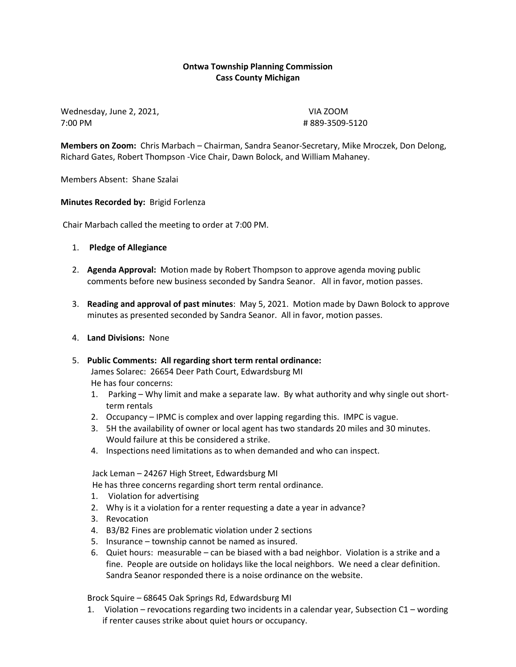## **Ontwa Township Planning Commission Cass County Michigan**

Wednesday, June 2, 2021, VIA ZOOM 7:00 PM # 889-3509-5120

**Members on Zoom:** Chris Marbach – Chairman, Sandra Seanor-Secretary, Mike Mroczek, Don Delong, Richard Gates, Robert Thompson -Vice Chair, Dawn Bolock, and William Mahaney.

Members Absent: Shane Szalai

**Minutes Recorded by:** Brigid Forlenza

Chair Marbach called the meeting to order at 7:00 PM.

- 1. **Pledge of Allegiance**
- 2. **Agenda Approval:** Motion made by Robert Thompson to approve agenda moving public comments before new business seconded by Sandra Seanor. All in favor, motion passes.
- 3. **Reading and approval of past minutes**: May 5, 2021. Motion made by Dawn Bolock to approve minutes as presented seconded by Sandra Seanor. All in favor, motion passes.
- 4. **Land Divisions:** None
- 5. **Public Comments: All regarding short term rental ordinance:** James Solarec: 26654 Deer Path Court, Edwardsburg MI He has four concerns:
	- 1. Parking Why limit and make a separate law. By what authority and why single out shortterm rentals
	- 2. Occupancy IPMC is complex and over lapping regarding this. IMPC is vague.
	- 3. 5H the availability of owner or local agent has two standards 20 miles and 30 minutes. Would failure at this be considered a strike.
	- 4. Inspections need limitations as to when demanded and who can inspect.

Jack Leman – 24267 High Street, Edwardsburg MI

He has three concerns regarding short term rental ordinance.

- 1. Violation for advertising
- 2. Why is it a violation for a renter requesting a date a year in advance?
- 3. Revocation
- 4. B3/B2 Fines are problematic violation under 2 sections
- 5. Insurance township cannot be named as insured.
- 6. Quiet hours: measurable can be biased with a bad neighbor. Violation is a strike and a fine. People are outside on holidays like the local neighbors. We need a clear definition. Sandra Seanor responded there is a noise ordinance on the website.

Brock Squire – 68645 Oak Springs Rd, Edwardsburg MI

1. Violation – revocations regarding two incidents in a calendar year, Subsection C1 – wording if renter causes strike about quiet hours or occupancy.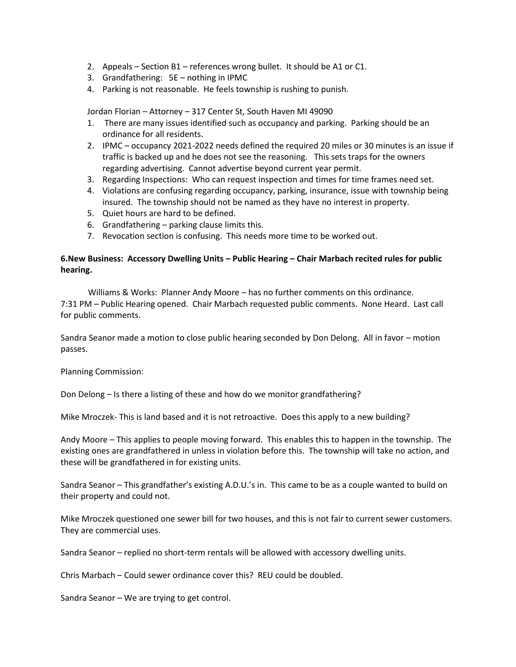- 2. Appeals Section B1 references wrong bullet. It should be A1 or C1.
- 3. Grandfathering: 5E nothing in IPMC
- 4. Parking is not reasonable. He feels township is rushing to punish.

Jordan Florian – Attorney – 317 Center St, South Haven MI 49090

- 1. There are many issues identified such as occupancy and parking. Parking should be an ordinance for all residents.
- 2. IPMC occupancy 2021-2022 needs defined the required 20 miles or 30 minutes is an issue if traffic is backed up and he does not see the reasoning. This sets traps for the owners regarding advertising. Cannot advertise beyond current year permit.
- 3. Regarding Inspections: Who can request inspection and times for time frames need set.
- 4. Violations are confusing regarding occupancy, parking, insurance, issue with township being insured. The township should not be named as they have no interest in property.
- 5. Quiet hours are hard to be defined.
- 6. Grandfathering parking clause limits this.
- 7. Revocation section is confusing. This needs more time to be worked out.

### **6.New Business: Accessory Dwelling Units – Public Hearing – Chair Marbach recited rules for public hearing.**

Williams & Works: Planner Andy Moore – has no further comments on this ordinance. 7:31 PM – Public Hearing opened. Chair Marbach requested public comments. None Heard. Last call for public comments.

Sandra Seanor made a motion to close public hearing seconded by Don Delong. All in favor – motion passes.

Planning Commission:

Don Delong – Is there a listing of these and how do we monitor grandfathering?

Mike Mroczek- This is land based and it is not retroactive. Does this apply to a new building?

Andy Moore – This applies to people moving forward. This enables this to happen in the township. The existing ones are grandfathered in unless in violation before this. The township will take no action, and these will be grandfathered in for existing units.

Sandra Seanor – This grandfather's existing A.D.U.'s in. This came to be as a couple wanted to build on their property and could not.

Mike Mroczek questioned one sewer bill for two houses, and this is not fair to current sewer customers. They are commercial uses.

Sandra Seanor – replied no short-term rentals will be allowed with accessory dwelling units.

Chris Marbach – Could sewer ordinance cover this? REU could be doubled.

Sandra Seanor – We are trying to get control.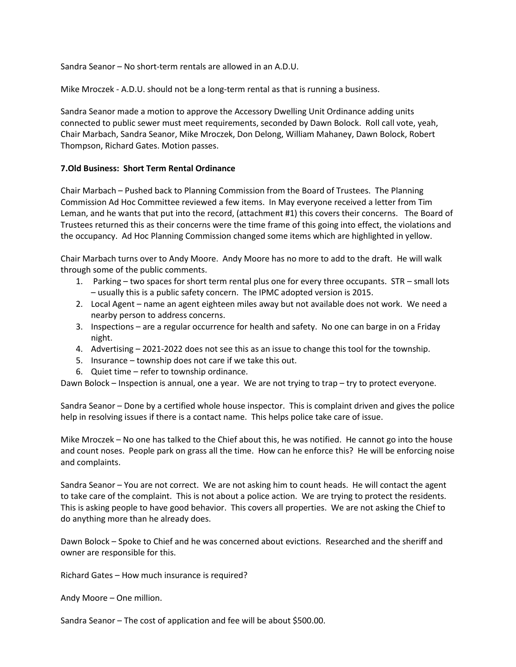Sandra Seanor – No short-term rentals are allowed in an A.D.U.

Mike Mroczek - A.D.U. should not be a long-term rental as that is running a business.

Sandra Seanor made a motion to approve the Accessory Dwelling Unit Ordinance adding units connected to public sewer must meet requirements, seconded by Dawn Bolock. Roll call vote, yeah, Chair Marbach, Sandra Seanor, Mike Mroczek, Don Delong, William Mahaney, Dawn Bolock, Robert Thompson, Richard Gates. Motion passes.

#### **7.Old Business: Short Term Rental Ordinance**

Chair Marbach – Pushed back to Planning Commission from the Board of Trustees. The Planning Commission Ad Hoc Committee reviewed a few items. In May everyone received a letter from Tim Leman, and he wants that put into the record, (attachment #1) this covers their concerns. The Board of Trustees returned this as their concerns were the time frame of this going into effect, the violations and the occupancy. Ad Hoc Planning Commission changed some items which are highlighted in yellow.

Chair Marbach turns over to Andy Moore. Andy Moore has no more to add to the draft. He will walk through some of the public comments.

- 1. Parking two spaces for short term rental plus one for every three occupants. STR small lots – usually this is a public safety concern. The IPMC adopted version is 2015.
- 2. Local Agent name an agent eighteen miles away but not available does not work. We need a nearby person to address concerns.
- 3. Inspections are a regular occurrence for health and safety. No one can barge in on a Friday night.
- 4. Advertising 2021-2022 does not see this as an issue to change this tool for the township.
- 5. Insurance township does not care if we take this out.
- 6. Quiet time refer to township ordinance.

Dawn Bolock – Inspection is annual, one a year. We are not trying to trap – try to protect everyone.

Sandra Seanor – Done by a certified whole house inspector. This is complaint driven and gives the police help in resolving issues if there is a contact name. This helps police take care of issue.

Mike Mroczek – No one has talked to the Chief about this, he was notified. He cannot go into the house and count noses. People park on grass all the time. How can he enforce this? He will be enforcing noise and complaints.

Sandra Seanor – You are not correct. We are not asking him to count heads. He will contact the agent to take care of the complaint. This is not about a police action. We are trying to protect the residents. This is asking people to have good behavior. This covers all properties. We are not asking the Chief to do anything more than he already does.

Dawn Bolock – Spoke to Chief and he was concerned about evictions. Researched and the sheriff and owner are responsible for this.

Richard Gates – How much insurance is required?

Andy Moore – One million.

Sandra Seanor – The cost of application and fee will be about \$500.00.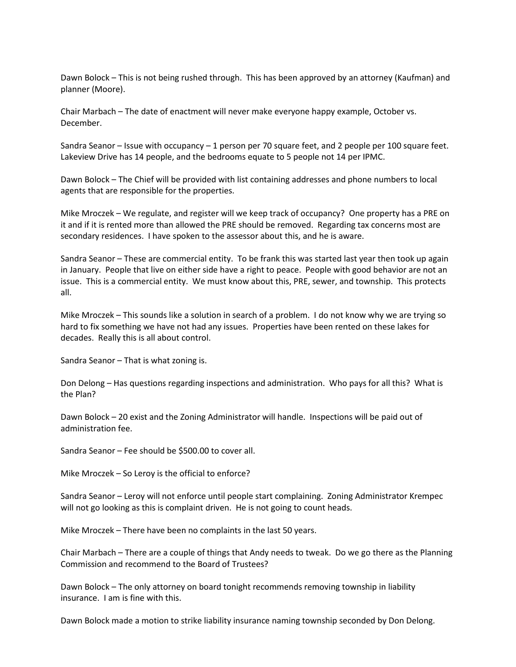Dawn Bolock – This is not being rushed through. This has been approved by an attorney (Kaufman) and planner (Moore).

Chair Marbach – The date of enactment will never make everyone happy example, October vs. December.

Sandra Seanor – Issue with occupancy – 1 person per 70 square feet, and 2 people per 100 square feet. Lakeview Drive has 14 people, and the bedrooms equate to 5 people not 14 per IPMC.

Dawn Bolock – The Chief will be provided with list containing addresses and phone numbers to local agents that are responsible for the properties.

Mike Mroczek – We regulate, and register will we keep track of occupancy? One property has a PRE on it and if it is rented more than allowed the PRE should be removed. Regarding tax concerns most are secondary residences. I have spoken to the assessor about this, and he is aware.

Sandra Seanor – These are commercial entity. To be frank this was started last year then took up again in January. People that live on either side have a right to peace. People with good behavior are not an issue. This is a commercial entity. We must know about this, PRE, sewer, and township. This protects all.

Mike Mroczek – This sounds like a solution in search of a problem. I do not know why we are trying so hard to fix something we have not had any issues. Properties have been rented on these lakes for decades. Really this is all about control.

Sandra Seanor – That is what zoning is.

Don Delong – Has questions regarding inspections and administration. Who pays for all this? What is the Plan?

Dawn Bolock – 20 exist and the Zoning Administrator will handle. Inspections will be paid out of administration fee.

Sandra Seanor – Fee should be \$500.00 to cover all.

Mike Mroczek – So Leroy is the official to enforce?

Sandra Seanor – Leroy will not enforce until people start complaining. Zoning Administrator Krempec will not go looking as this is complaint driven. He is not going to count heads.

Mike Mroczek – There have been no complaints in the last 50 years.

Chair Marbach – There are a couple of things that Andy needs to tweak. Do we go there as the Planning Commission and recommend to the Board of Trustees?

Dawn Bolock – The only attorney on board tonight recommends removing township in liability insurance. I am is fine with this.

Dawn Bolock made a motion to strike liability insurance naming township seconded by Don Delong.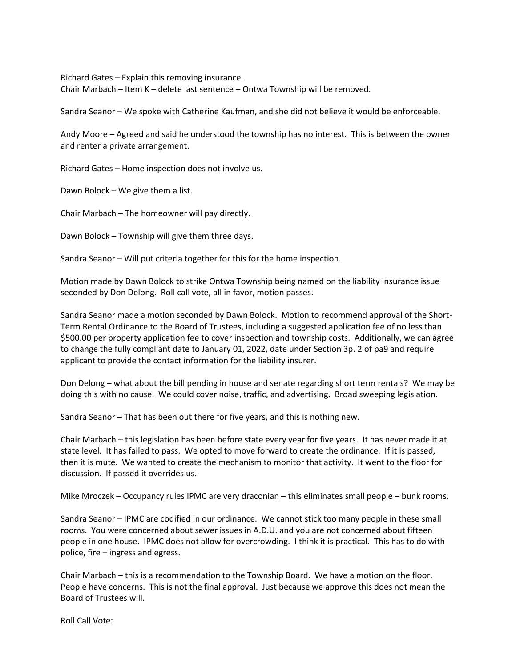Richard Gates – Explain this removing insurance. Chair Marbach – Item K – delete last sentence – Ontwa Township will be removed.

Sandra Seanor – We spoke with Catherine Kaufman, and she did not believe it would be enforceable.

Andy Moore – Agreed and said he understood the township has no interest. This is between the owner and renter a private arrangement.

Richard Gates – Home inspection does not involve us.

Dawn Bolock – We give them a list.

Chair Marbach – The homeowner will pay directly.

Dawn Bolock – Township will give them three days.

Sandra Seanor – Will put criteria together for this for the home inspection.

Motion made by Dawn Bolock to strike Ontwa Township being named on the liability insurance issue seconded by Don Delong. Roll call vote, all in favor, motion passes.

Sandra Seanor made a motion seconded by Dawn Bolock. Motion to recommend approval of the Short-Term Rental Ordinance to the Board of Trustees, including a suggested application fee of no less than \$500.00 per property application fee to cover inspection and township costs. Additionally, we can agree to change the fully compliant date to January 01, 2022, date under Section 3p. 2 of pa9 and require applicant to provide the contact information for the liability insurer.

Don Delong – what about the bill pending in house and senate regarding short term rentals? We may be doing this with no cause. We could cover noise, traffic, and advertising. Broad sweeping legislation.

Sandra Seanor – That has been out there for five years, and this is nothing new.

Chair Marbach – this legislation has been before state every year for five years. It has never made it at state level. It has failed to pass. We opted to move forward to create the ordinance. If it is passed, then it is mute. We wanted to create the mechanism to monitor that activity. It went to the floor for discussion. If passed it overrides us.

Mike Mroczek – Occupancy rules IPMC are very draconian – this eliminates small people – bunk rooms.

Sandra Seanor – IPMC are codified in our ordinance. We cannot stick too many people in these small rooms. You were concerned about sewer issues in A.D.U. and you are not concerned about fifteen people in one house. IPMC does not allow for overcrowding. I think it is practical. This has to do with police, fire – ingress and egress.

Chair Marbach – this is a recommendation to the Township Board. We have a motion on the floor. People have concerns. This is not the final approval. Just because we approve this does not mean the Board of Trustees will.

Roll Call Vote: